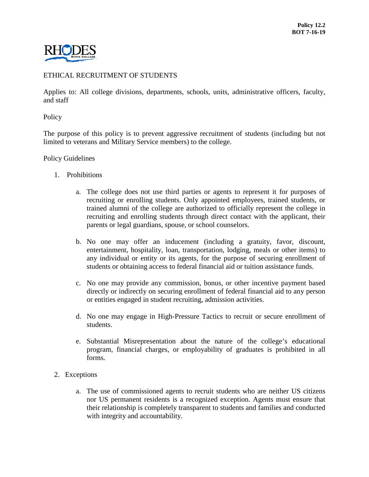

## ETHICAL RECRUITMENT OF STUDENTS

Applies to: All college divisions, departments, schools, units, administrative officers, faculty, and staff

Policy

The purpose of this policy is to prevent aggressive recruitment of students (including but not limited to veterans and Military Service members) to the college.

Policy Guidelines

- 1. Prohibitions
	- a. The college does not use third parties or agents to represent it for purposes of recruiting or enrolling students. Only appointed employees, trained students, or trained alumni of the college are authorized to officially represent the college in recruiting and enrolling students through direct contact with the applicant, their parents or legal guardians, spouse, or school counselors.
	- b. No one may offer an inducement (including a gratuity, favor, discount, entertainment, hospitality, loan, transportation, lodging, meals or other items) to any individual or entity or its agents, for the purpose of securing enrollment of students or obtaining access to federal financial aid or tuition assistance funds.
	- c. No one may provide any commission, bonus, or other incentive payment based directly or indirectly on securing enrollment of federal financial aid to any person or entities engaged in student recruiting, admission activities.
	- d. No one may engage in High-Pressure Tactics to recruit or secure enrollment of students.
	- e. Substantial Misrepresentation about the nature of the college's educational program, financial charges, or employability of graduates is prohibited in all forms.
- 2. Exceptions
	- a. The use of commissioned agents to recruit students who are neither US citizens nor US permanent residents is a recognized exception. Agents must ensure that their relationship is completely transparent to students and families and conducted with integrity and accountability.